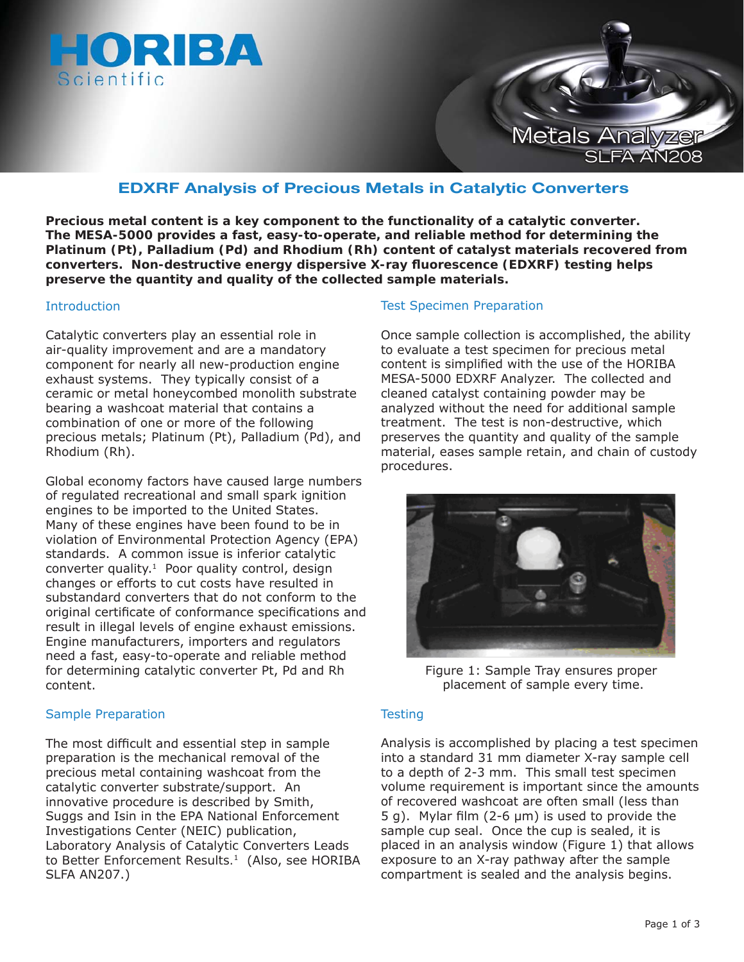



# **EDXRF Analysis of Precious Metals in Catalytic Converters**

**Precious metal content is a key component to the functionality of a catalytic converter. The MESA-5000 provides a fast, easy-to-operate, and reliable method for determining the Platinum (Pt), Palladium (Pd) and Rhodium (Rh) content of catalyst materials recovered from converters. Non-destructive energy dispersive X-ray fl uorescence (EDXRF) testing helps preserve the quantity and quality of the collected sample materials.** 

#### Introduction

Catalytic converters play an essential role in air-quality improvement and are a mandatory component for nearly all new-production engine exhaust systems. They typically consist of a ceramic or metal honeycombed monolith substrate bearing a washcoat material that contains a combination of one or more of the following precious metals; Platinum (Pt), Palladium (Pd), and Rhodium (Rh).

Global economy factors have caused large numbers of regulated recreational and small spark ignition engines to be imported to the United States. Many of these engines have been found to be in violation of Environmental Protection Agency (EPA) standards. A common issue is inferior catalytic converter quality.<sup>1</sup> Poor quality control, design changes or efforts to cut costs have resulted in substandard converters that do not conform to the original certificate of conformance specifications and result in illegal levels of engine exhaust emissions. Engine manufacturers, importers and regulators need a fast, easy-to-operate and reliable method for determining catalytic converter Pt, Pd and Rh content.

## Sample Preparation

The most difficult and essential step in sample preparation is the mechanical removal of the precious metal containing washcoat from the catalytic converter substrate/support. An innovative procedure is described by Smith, Suggs and Isin in the EPA National Enforcement Investigations Center (NEIC) publication, *Laboratory Analysis of Catalytic Converters Leads to Better Enforcement Results.*<sup>1</sup>(Also, see HORIBA SLFA AN207.)

#### Test Specimen Preparation

Once sample collection is accomplished, the ability to evaluate a test specimen for precious metal content is simplified with the use of the HORIBA MESA-5000 EDXRF Analyzer. The collected and cleaned catalyst containing powder may be analyzed without the need for additional sample treatment. The test is non-destructive, which preserves the quantity and quality of the sample material, eases sample retain, and chain of custody procedures.



Figure 1: Sample Tray ensures proper placement of sample every time.

## **Testing**

Analysis is accomplished by placing a test specimen into a standard 31 mm diameter X-ray sample cell to a depth of 2-3 mm. This small test specimen volume requirement is important since the amounts of recovered washcoat are often small (less than 5 g). Mylar film (2-6  $\mu$ m) is used to provide the sample cup seal. Once the cup is sealed, it is placed in an analysis window (Figure 1) that allows exposure to an X-ray pathway after the sample compartment is sealed and the analysis begins.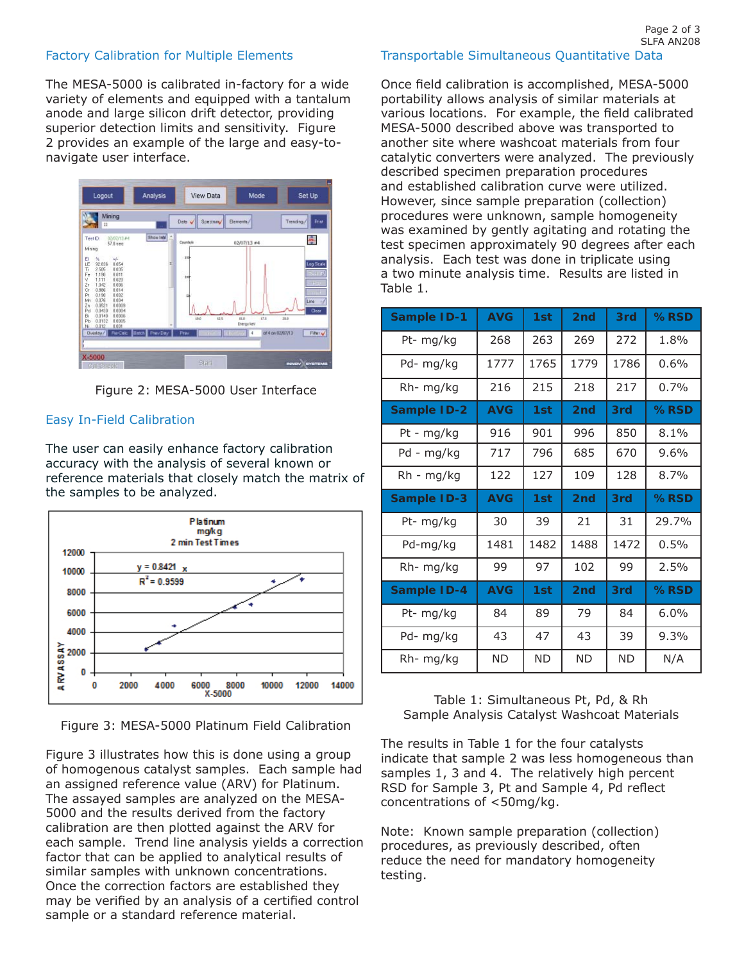## Factory Calibration for Multiple Elements

The MESA-5000 is calibrated in-factory for a wide variety of elements and equipped with a tantalum anode and large silicon drift detector, providing superior detection limits and sensitivity. Figure 2 provides an example of the large and easy-tonavigate user interface.



Figure 2: MESA-5000 User Interface

#### Easy In-Field Calibration

The user can easily enhance factory calibration accuracy with the analysis of several known or reference materials that closely match the matrix of the samples to be analyzed.



Figure 3: MESA-5000 Platinum Field Calibration

Figure 3 illustrates how this is done using a group of homogenous catalyst samples. Each sample had an assigned reference value (ARV) for Platinum. The assayed samples are analyzed on the MESA-5000 and the results derived from the factory calibration are then plotted against the ARV for each sample. Trend line analysis yields a correction factor that can be applied to analytical results of similar samples with unknown concentrations. Once the correction factors are established they may be verified by an analysis of a certified control sample or a standard reference material.

Once field calibration is accomplished, MESA-5000 portability allows analysis of similar materials at various locations. For example, the field calibrated MESA-5000 described above was transported to another site where washcoat materials from four catalytic converters were analyzed. The previously described specimen preparation procedures and established calibration curve were utilized. However, since sample preparation (collection) procedures were unknown, sample homogeneity was examined by gently agitating and rotating the test specimen approximately 90 degrees after each analysis. Each test was done in triplicate using a two minute analysis time. Results are listed in Table 1.

| <b>Sample ID-1</b> | <b>AVG</b> | 1st  | 2 <sub>nd</sub> | 3rd  | $%$ RSD |
|--------------------|------------|------|-----------------|------|---------|
| Pt- mg/kg          | 268        | 263  | 269             | 272  | 1.8%    |
| Pd- mg/kg          | 1777       | 1765 | 1779            | 1786 | $0.6\%$ |
| $Rh-mg/kg$         | 216        | 215  | 218             | 217  | 0.7%    |
| <b>Sample ID-2</b> | <b>AVG</b> | 1st  | 2 <sub>nd</sub> | 3rd  | %RSD    |
| Pt - mg/kg         | 916        | 901  | 996             | 850  | $8.1\%$ |
| Pd - mg/kg         | 717        | 796  | 685             | 670  | $9.6\%$ |
| Rh - mg/kg         | 122        | 127  | 109             | 128  | 8.7%    |
|                    |            |      |                 |      |         |
| Sample ID-3        | <b>AVG</b> | 1st  | 2 <sub>nd</sub> | 3rd  | %RSD    |
| Pt- mg/kg          | 30         | 39   | 21              | 31   | 29.7%   |
| Pd-mg/kg           | 1481       | 1482 | 1488            | 1472 | 0.5%    |
| Rh-mg/kg           | 99         | 97   | 102             | 99   | 2.5%    |
| <b>Sample ID-4</b> | <b>AVG</b> | 1st  | 2 <sub>nd</sub> | 3rd  | %RSD    |
| Pt- mg/kg          | 84         | 89   | 79              | 84   | 6.0%    |
| Pd-mg/kg           | 43         | 47   | 43              | 39   | 9.3%    |

Table 1: Simultaneous Pt, Pd, & Rh Sample Analysis Catalyst Washcoat Materials

The results in Table 1 for the four catalysts indicate that sample 2 was less homogeneous than samples 1, 3 and 4. The relatively high percent RSD for Sample 3, Pt and Sample 4, Pd reflect concentrations of <50mg/kg.

Note: Known sample preparation (collection) procedures, as previously described, often reduce the need for mandatory homogeneity testing.